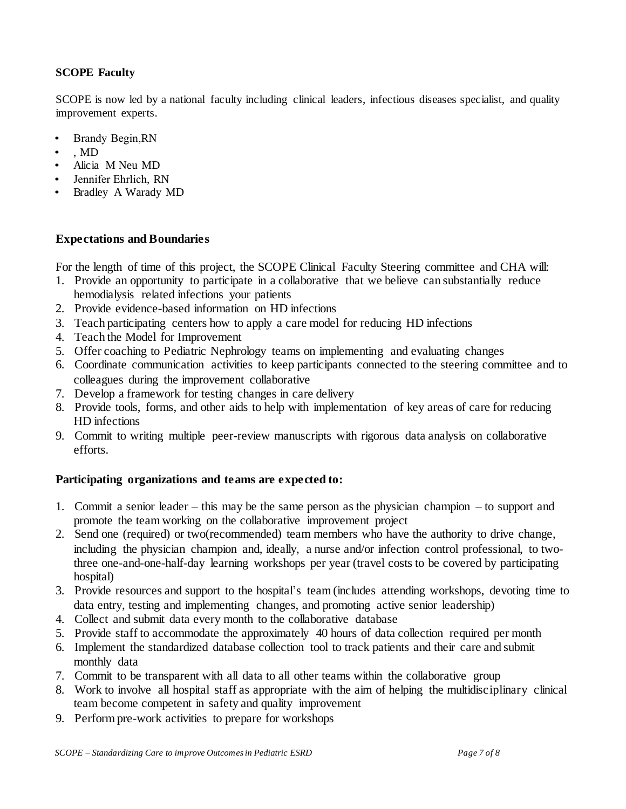## **SCOPE Faculty**

SCOPE is now led by a national faculty including clinical leaders, infectious diseases specialist, and quality improvement experts.

- Brandy Begin,RN
- Rebecca Same, MD
- Alicia M Neu MD
- Jennifer Ehrlich, RN
- Bradley A Warady MD

## **Expectations and Boundaries**

For the length of time of this project, the SCOPE Clinical Faculty Steering committee and CHA will:

- 1. Provide an opportunity to participate in a collaborative that we believe can substantially reduce hemodialysis related infections your patients
- 2. Provide evidence-based information on HD infections
- 3. Teach participating centers how to apply a care model for reducing HD infections
- 4. Teach the Model for Improvement
- 5. Offer coaching to Pediatric Nephrology teams on implementing and evaluating changes
- 6. Coordinate communication activities to keep participants connected to the steering committee and to colleagues during the improvement collaborative
- 7. Develop a framework for testing changes in care delivery
- 8. Provide tools, forms, and other aids to help with implementation of key areas of care for reducing HD infections
- 9. Commit to writing multiple peer-review manuscripts with rigorous data analysis on collaborative efforts.

## **Participating organizations and teams are expected to:**

- 1. Commit a senior leader this may be the same person as the physician champion to support and promote the team working on the collaborative improvement project
- 2. Send one (required) or two(recommended) team members who have the authority to drive change, including the physician champion and, ideally, a nurse and/or infection control professional, to twothree one-and-one-half-day learning workshops per year (travel costs to be covered by participating hospital)
- 3. Provide resources and support to the hospital's team (includes attending workshops, devoting time to data entry, testing and implementing changes, and promoting active senior leadership)
- 4. Collect and submit data every month to the collaborative database
- 5. Provide staff to accommodate the approximately 40 hours of data collection required per month
- 6. Implement the standardized database collection tool to track patients and their care and submit monthly data
- 7. Commit to be transparent with all data to all other teams within the collaborative group
- 8. Work to involve all hospital staff as appropriate with the aim of helping the multidisciplinary clinical team become competent in safety and quality improvement
- 9. Perform pre-work activities to prepare for workshops